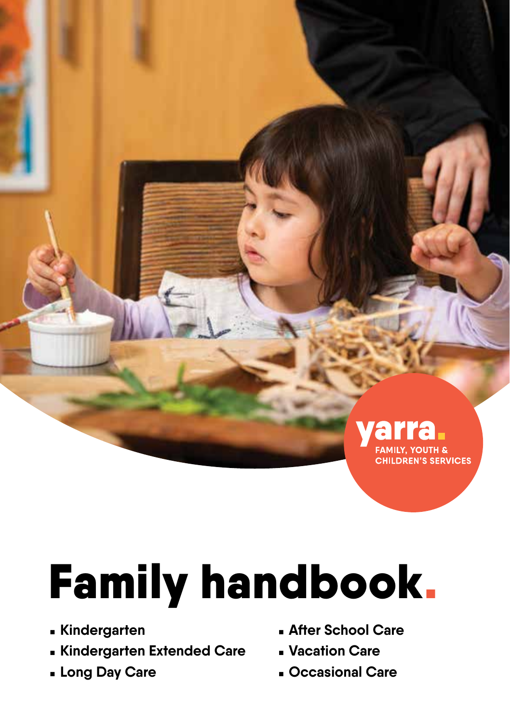

# Family handbook.

- **Kindergarten**
- **Kindergarten Extended Care**
- **Long Day Care**
- **After School Care**
- **Vacation Care**
- **Occasional Care**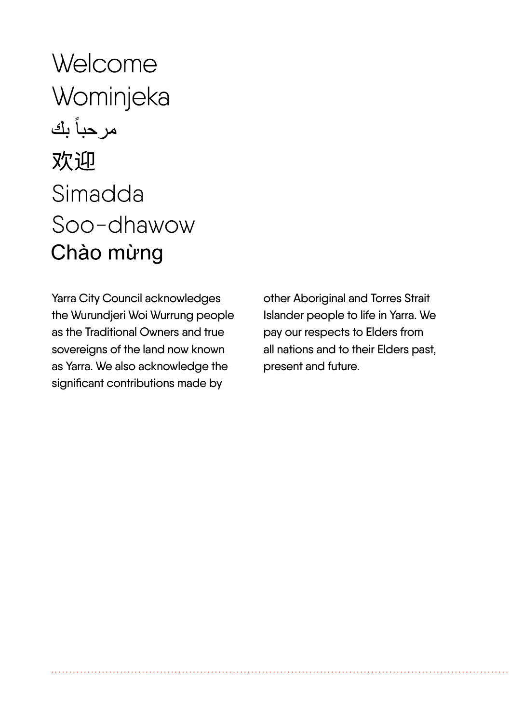# Welcome Wominjeka مر حباً بك 欢迎 Simadda Soo-dhawow Chào mừng

Yarra City Council acknowledges the Wurundjeri Woi Wurrung people as the Traditional Owners and true sovereigns of the land now known as Yarra. We also acknowledge the significant contributions made by

other Aboriginal and Torres Strait Islander people to life in Yarra. We pay our respects to Elders from all nations and to their Elders past, present and future.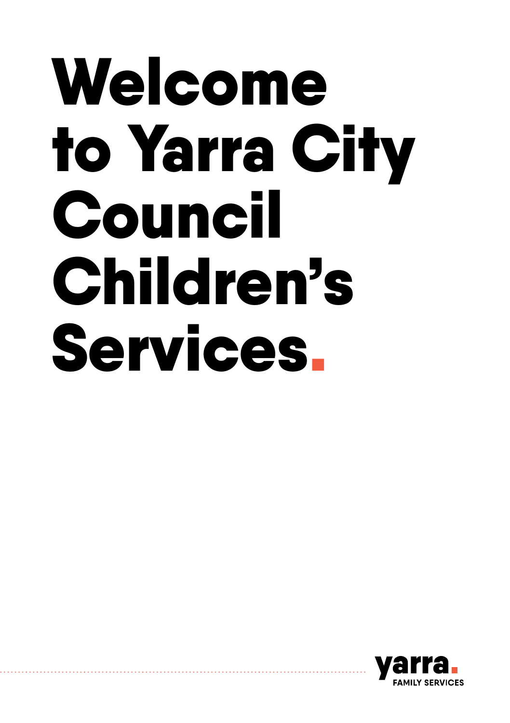# Welcome to Yarra City Council Children's Services.

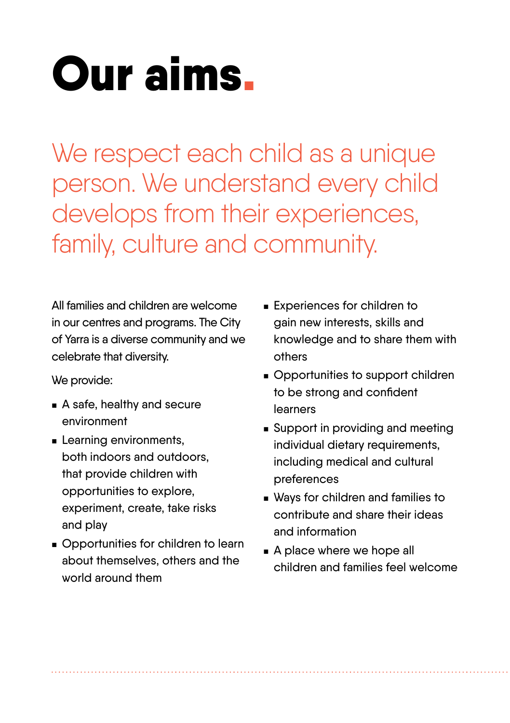# Our aims.

We respect each child as a unique person. We understand every child develops from their experiences, family, culture and community.

All families and children are welcome in our centres and programs. The City of Yarra is a diverse community and we celebrate that diversity.

We provide:

- A safe, healthy and secure environment
- **Learning environments.** both indoors and outdoors, that provide children with opportunities to explore, experiment, create, take risks and play
- **Opportunities for children to learn** about themselves, others and the world around them
- Experiences for children to gain new interests, skills and knowledge and to share them with others
- **Opportunities to support children** to be strong and confident learners
- Support in providing and meeting individual dietary requirements, including medical and cultural preferences
- Ways for children and families to contribute and share their ideas and information
- A place where we hope all children and families feel welcome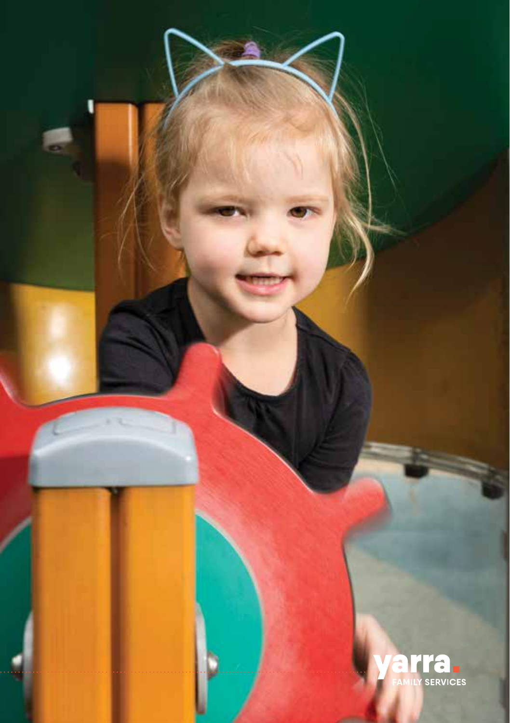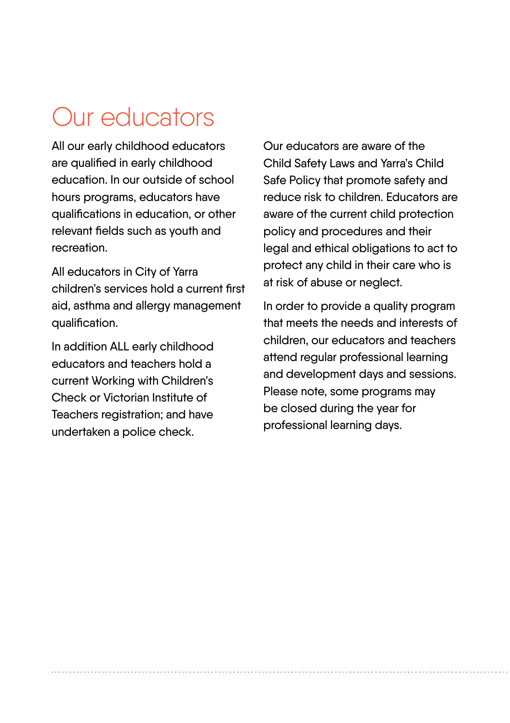# Our educators

All our early childhood educators are qualified in early childhood education. In our outside of school hours programs, educators have qualifications in education, or other relevant fields such as youth and recreation.

All educators in City of Yarra children's services hold a current first aid, asthma and allergy management qualification.

In addition ALL early childhood educators and teachers hold a current Working with Children's Check or Victorian Institute of Teachers registration; and have undertaken a police check.

Our educators are aware of the Child Safety Laws and Yarra's Child Safe Policy that promote safety and reduce risk to children. Educators are aware of the current child protection policy and procedures and their legal and ethical obligations to act to protect any child in their care who is at risk of abuse or neglect.

In order to provide a quality program that meets the needs and interests of children, our educators and teachers attend regular professional learning and development days and sessions. Please note, some programs may be closed during the year for professional learning days.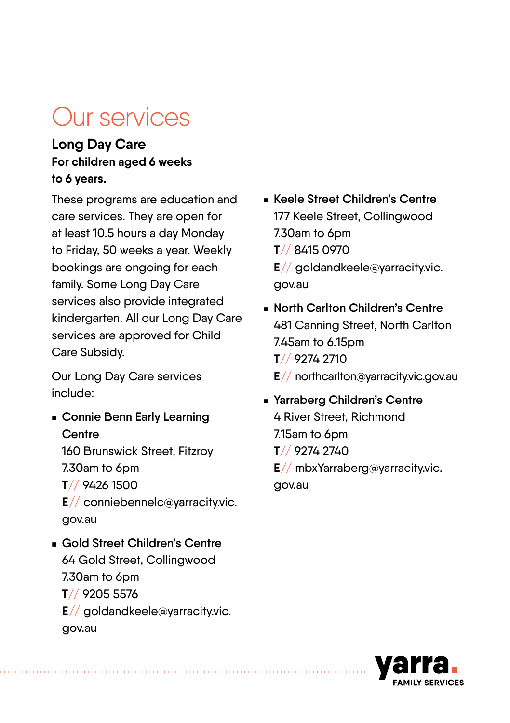# Our services

## **Long Day Care For children aged 6 weeks to 6 years.**

These programs are education and care services. They are open for at least 10.5 hours a day Monday to Friday, 50 weeks a year. Weekly bookings are ongoing for each family. Some Long Day Care services also provide integrated kindergarten. All our Long Day Care services are approved for Child Care Subsidy.

Our Long Day Care services include:

- **Connie Benn Early Learning Centre** 160 Brunswick Street, Fitzroy 7.30am to 6pm **T**// 9426 1500 **E**// conniebennelc@yarracity.vic. gov.au
- **Gold Street Children's Centre** 64 Gold Street, Collingwood 7.30am to 6pm **T**// 9205 5576 **E**// goldandkeele@yarracity.vic. gov.au
- **Keele Street Children's Centre** 177 Keele Street, Collingwood 7.30am to 6pm **T**// 8415 0970 **E**// goldandkeele@yarracity.vic. gov.au
- **North Carlton Children's Centre** 481 Canning Street, North Carlton 7.45am to 6.15pm **T**// 9274 2710 **E**// northcarlton@yarracity.vic.gov.au
- **Yarraberg Children's Centre** 4 River Street, Richmond 7.15am to 6pm **T**// 9274 2740 **E**// mbxYarraberg@yarracity.vic. gov.au

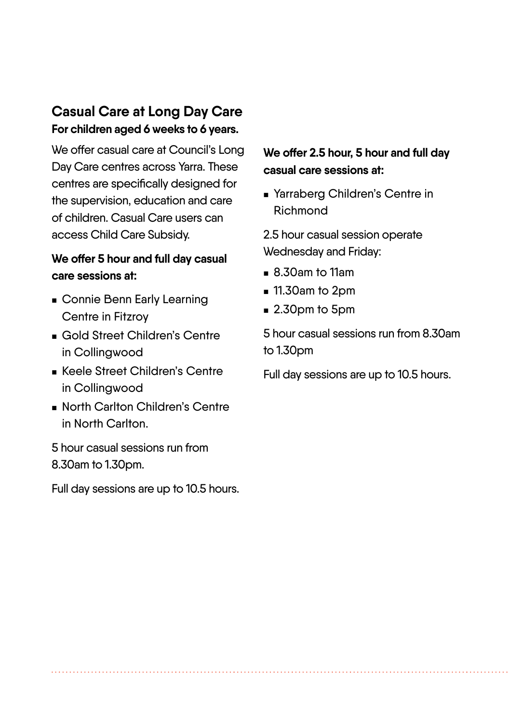### **Casual Care at Long Day Care For children aged 6 weeks to 6 years.**

We offer casual care at Council's Long Day Care centres across Yarra. These centres are specifically designed for the supervision, education and care of children. Casual Care users can access Child Care Subsidy.

### **We offer 5 hour and full day casual care sessions at:**

- Connie Benn Early Learning Centre in Fitzroy
- Gold Street Children's Centre in Collingwood
- Keele Street Children's Centre in Collingwood
- **North Carlton Children's Centre** in North Carlton.

5 hour casual sessions run from 8.30am to 1.30pm.

Full day sessions are up to 10.5 hours.

### **We offer 2.5 hour, 5 hour and full day casual care sessions at:**

 Yarraberg Children's Centre in Richmond

2.5 hour casual session operate Wednesday and Friday:

- $B.30$ am to 11am
- 11.30am to 2pm
- 2.30pm to 5pm

5 hour casual sessions run from 8.30am to 1.30pm

Full day sessions are up to 10.5 hours.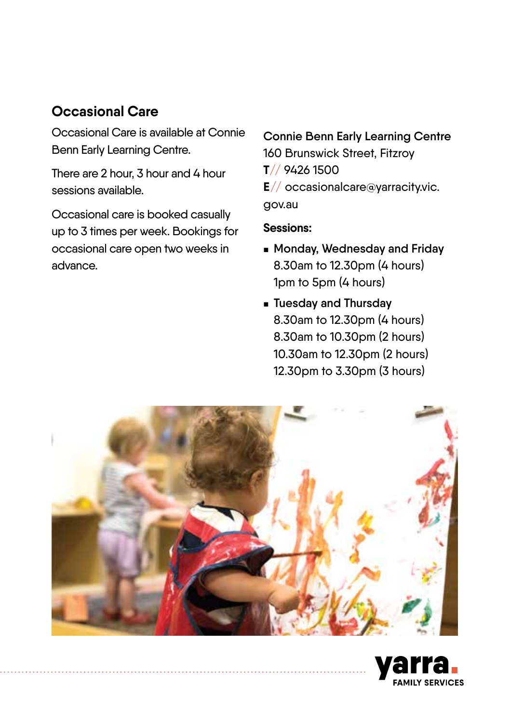## **Occasional Care**

Occasional Care is available at Connie Benn Early Learning Centre.

There are 2 hour, 3 hour and 4 hour sessions available.

Occasional care is booked casually up to 3 times per week. Bookings for occasional care open two weeks in advance.

### **Connie Benn Early Learning Centre**

160 Brunswick Street, Fitzroy **T**// 9426 1500 **E**// occasionalcare@yarracity.vic. gov.au

### **Sessions:**

- **Monday, Wednesday and Friday** 8.30am to 12.30pm (4 hours) 1pm to 5pm (4 hours)
- **Tuesday and Thursday** 8.30am to 12.30pm (4 hours) 8.30am to 10.30pm (2 hours) 10.30am to 12.30pm (2 hours) 12.30pm to 3.30pm (3 hours)



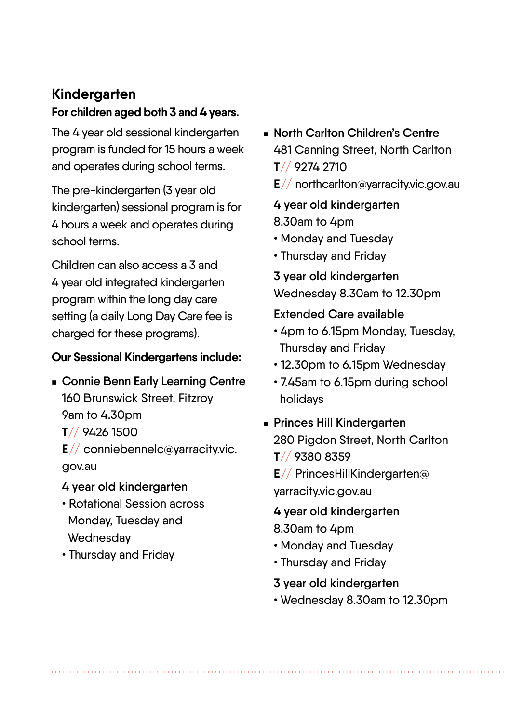# **Kindergarten**

### **For children aged both 3 and 4 years.**

The 4 year old sessional kindergarten program is funded for 15 hours a week and operates during school terms.

The pre-kindergarten (3 year old kindergarten) sessional program is for 4 hours a week and operates during school terms.

Children can also access a 3 and 4 year old integrated kindergarten program within the long day care setting (a daily Long Day Care fee is charged for these programs).

### **Our Sessional Kindergartens include:**

 **Connie Benn Early Learning Centre** 160 Brunswick Street, Fitzroy 9am to 4.30pm **T**// 9426 1500 **E**// conniebennelc@yarracity.vic.

gov.au

### **4 year old kindergarten**

- Rotational Session across Monday, Tuesday and **Wednesday**
- Thursday and Friday
- **North Carlton Children's Centre** 481 Canning Street, North Carlton **T**// 9274 2710
	- **E**// northcarlton@yarracity.vic.gov.au
	- **4 year old kindergarten**
	- 8.30am to 4pm
	- Monday and Tuesday
	- Thursday and Friday

**3 year old kindergarten** Wednesday 8.30am to 12.30pm

### **Extended Care available**

- 4pm to 6.15pm Monday, Tuesday, Thursday and Friday
- 12.30pm to 6.15pm Wednesday
- 7.45am to 6.15pm during school holidays
- **Princes Hill Kindergarten** 280 Pigdon Street, North Carlton **T**// 9380 8359
	- **E**// PrincesHillKindergarten@ yarracity.vic.gov.au
	- **4 year old kindergarten**
	- 8.30am to 4pm
	- Monday and Tuesday
	- Thursday and Friday
	- **3 year old kindergarten**
	- Wednesday 8.30am to 12.30pm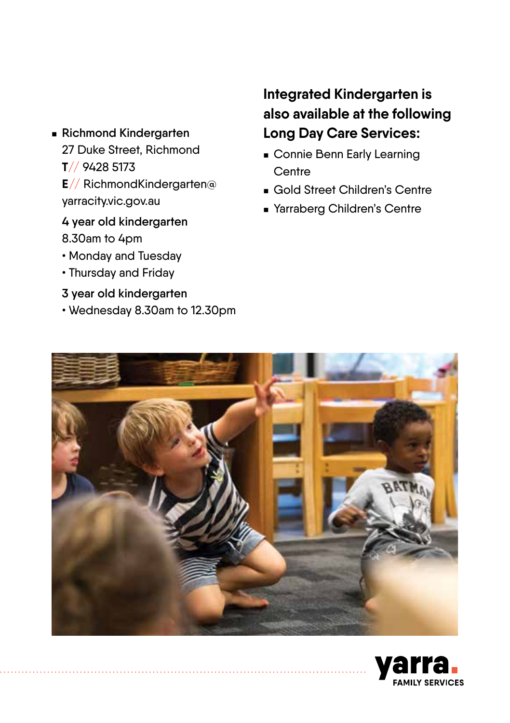- **Richmond Kindergarten** 27 Duke Street, Richmond **T**// 9428 5173 **E**// RichmondKindergarten@ yarracity.vic.gov.au
	- **4 year old kindergarten**
	- 8.30am to 4pm
	- Monday and Tuesday
	- Thursday and Friday

### **3 year old kindergarten**

• Wednesday 8.30am to 12.30pm

# **Integrated Kindergarten is also available at the following Long Day Care Services:**

- **Connie Benn Early Learning Centre**
- Gold Street Children's Centre
- Yarraberg Children's Centre



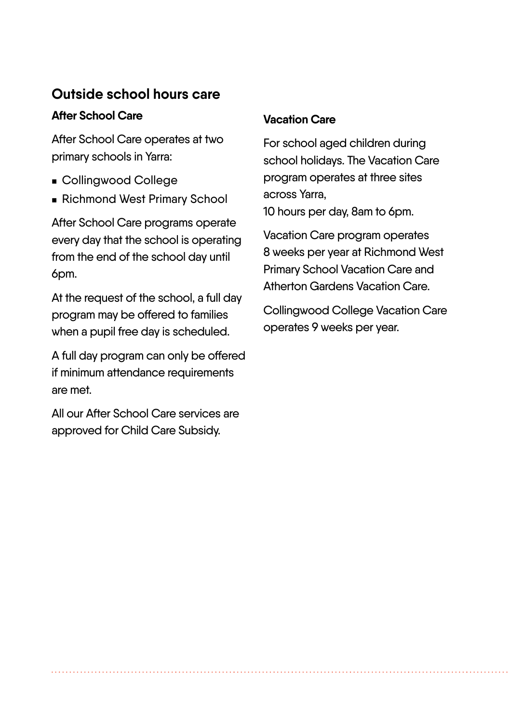### **Outside school hours care**

### **After School Care**

After School Care operates at two primary schools in Yarra:

- Collingwood College
- Richmond West Primary School

After School Care programs operate every day that the school is operating from the end of the school day until 6pm.

At the request of the school, a full day program may be offered to families when a pupil free day is scheduled.

A full day program can only be offered if minimum attendance requirements are met.

All our After School Care services are approved for Child Care Subsidy.

### **Vacation Care**

For school aged children during school holidays. The Vacation Care program operates at three sites across Yarra,

10 hours per day, 8am to 6pm.

Vacation Care program operates 8 weeks per year at Richmond West Primary School Vacation Care and Atherton Gardens Vacation Care.

Collingwood College Vacation Care operates 9 weeks per year.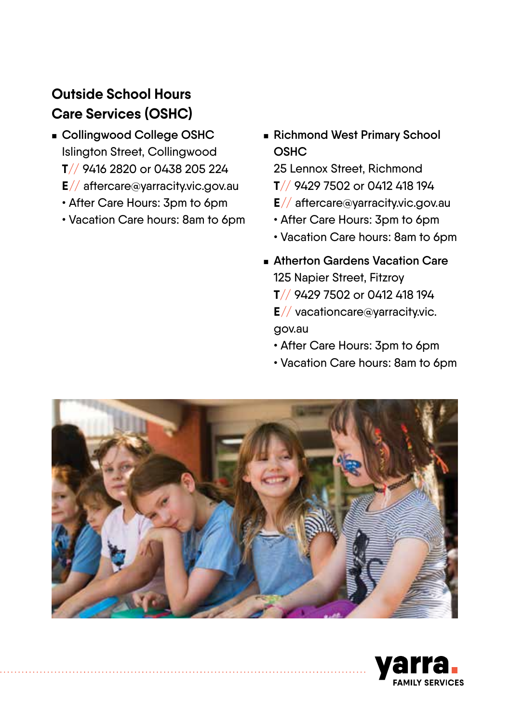# **Outside School Hours Care Services (OSHC)**

- **Collingwood College OSHC** Islington Street, Collingwood **T**// 9416 2820 or 0438 205 224
	- **E**// aftercare@yarracity.vic.gov.au
	- After Care Hours: 3pm to 6pm
	- Vacation Care hours: 8am to 6pm
- **Richmond West Primary School OSHC**
	- 25 Lennox Street, Richmond
	- **T**// 9429 7502 or 0412 418 194
	- **E**// aftercare@yarracity.vic.gov.au
	- After Care Hours: 3pm to 6pm
	- Vacation Care hours: 8am to 6pm
- **Atherton Gardens Vacation Care** 125 Napier Street, Fitzroy **T**// 9429 7502 or 0412 418 194 **E**// vacationcare@yarracity.vic. gov.au
	- After Care Hours: 3pm to 6pm
	- Vacation Care hours: 8am to 6pm



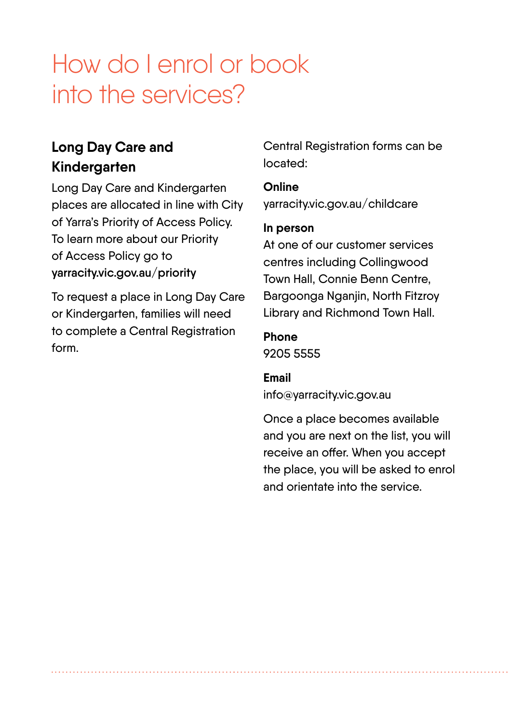# How do I enrol or book into the services?

# **Long Day Care and Kindergarten**

Long Day Care and Kindergarten places are allocated in line with City of Yarra's Priority of Access Policy. To learn more about our Priority of Access Policy go to **yarracity.vic.gov.au/priority**

To request a place in Long Day Care or Kindergarten, families will need to complete a Central Registration form.

Central Registration forms can be located:

**Online** yarracity.vic.gov.au/childcare

### **In person**

At one of our customer services centres including Collingwood Town Hall, Connie Benn Centre, Bargoonga Nganjin, North Fitzroy Library and Richmond Town Hall.

**Phone** 9205 5555

**Email** info@yarracity.vic.gov.au

Once a place becomes available and you are next on the list, you will receive an offer. When you accept the place, you will be asked to enrol and orientate into the service.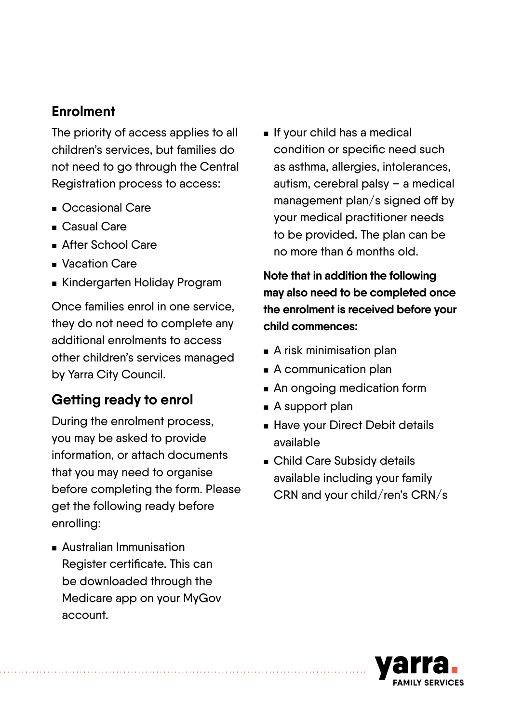### **Enrolment**

The priority of access applies to all children's services, but families do not need to go through the Central Registration process to access:

- Occasional Care
- Casual Care
- **After School Care**
- **Vacation Care**
- Kindergarten Holiday Program

Once families enrol in one service, they do not need to complete any additional enrolments to access other children's services managed by Yarra City Council.

# **Getting ready to enrol**

During the enrolment process, you may be asked to provide information, or attach documents that you may need to organise before completing the form. Please get the following ready before enrolling:

**Australian Immunisation** Register certificate. This can be downloaded through the Medicare app on your MyGov account.

**If your child has a medical** condition or specific need such as asthma, allergies, intolerances, autism, cerebral palsy – a medical management plan/s signed off by your medical practitioner needs to be provided. The plan can be no more than 6 months old.

**Note that in addition the following may also need to be completed once the enrolment is received before your child commences:**

- A risk minimisation plan
- **A** communication plan
- An ongoing medication form
- A support plan
- **Have your Direct Debit details** available
- Child Care Subsidy details available including your family CRN and your child/ren's CRN/s

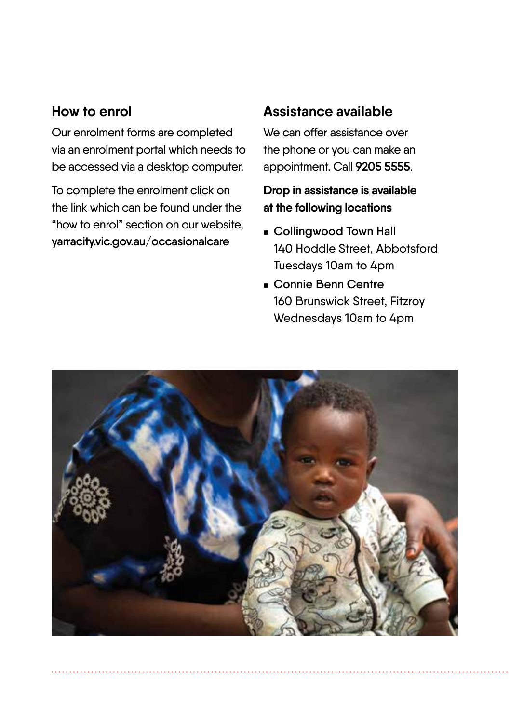### **How to enrol**

Our enrolment forms are completed via an enrolment portal which needs to be accessed via a desktop computer.

To complete the enrolment click on the link which can be found under the "how to enrol" section on our website, **yarracity.vic.gov.au/occasionalcare**

### **Assistance available**

We can offer assistance over the phone or you can make an appointment. Call **9205 5555**.

### **Drop in assistance is available at the following locations**

- **Collingwood Town Hall** 140 Hoddle Street, Abbotsford Tuesdays 10am to 4pm
- **Connie Benn Centre**  160 Brunswick Street, Fitzroy Wednesdays 10am to 4pm

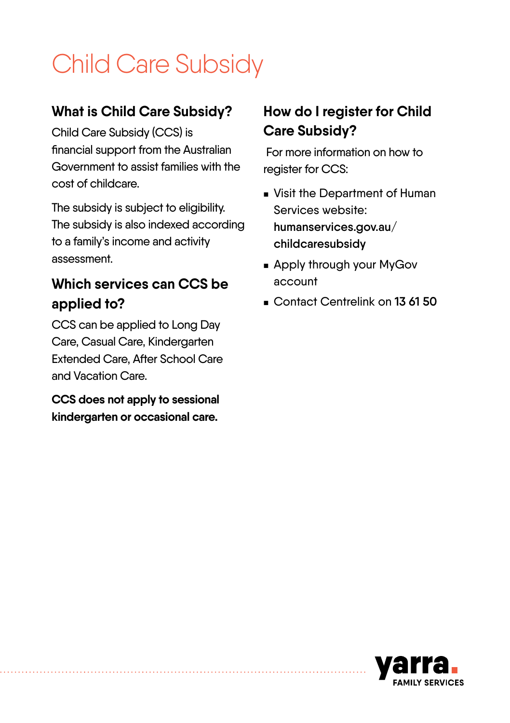# Child Care Subsidy

# **What is Child Care Subsidy?**

Child Care Subsidy (CCS) is financial support from the Australian Government to assist families with the cost of childcare.

The subsidy is subject to eligibility. The subsidy is also indexed according to a family's income and activity assessment.

# **Which services can CCS be applied to?**

CCS can be applied to Long Day Care, Casual Care, Kindergarten Extended Care, After School Care and Vacation Care.

**CCS does not apply to sessional kindergarten or occasional care.** 

# **How do I register for Child Care Subsidy?**

 For more information on how to register for CCS:

- Visit the Department of Human Services website: **humanservices.gov.au/ childcaresubsidy**
- **Apply through your MyGov** account
- Contact Centrelink on **13 61 50**

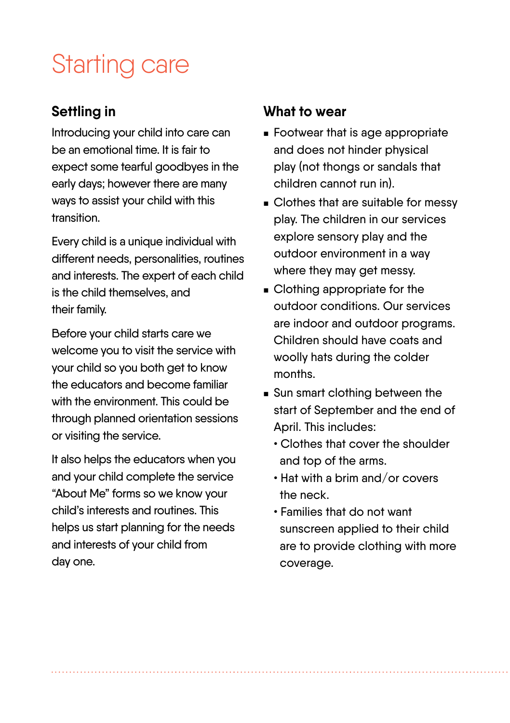# Starting care

# **Settling in**

Introducing your child into care can be an emotional time. It is fair to expect some tearful goodbyes in the early days; however there are many ways to assist your child with this transition.

Every child is a unique individual with different needs, personalities, routines and interests. The expert of each child is the child themselves, and their family.

Before your child starts care we welcome you to visit the service with your child so you both get to know the educators and become familiar with the environment. This could be through planned orientation sessions or visiting the service.

It also helps the educators when you and your child complete the service "About Me" forms so we know your child's interests and routines. This helps us start planning for the needs and interests of your child from day one.

# **What to wear**

- Footwear that is age appropriate and does not hinder physical play (not thongs or sandals that children cannot run in).
- **Clothes that are suitable for messy** play. The children in our services explore sensory play and the outdoor environment in a way where they may get messy.
- Clothing appropriate for the outdoor conditions. Our services are indoor and outdoor programs. Children should have coats and woolly hats during the colder months.
- **Sun smart clothing between the** start of September and the end of April. This includes:
	- Clothes that cover the shoulder and top of the arms.
	- Hat with a brim and/or covers the neck.
	- Families that do not want sunscreen applied to their child are to provide clothing with more coverage.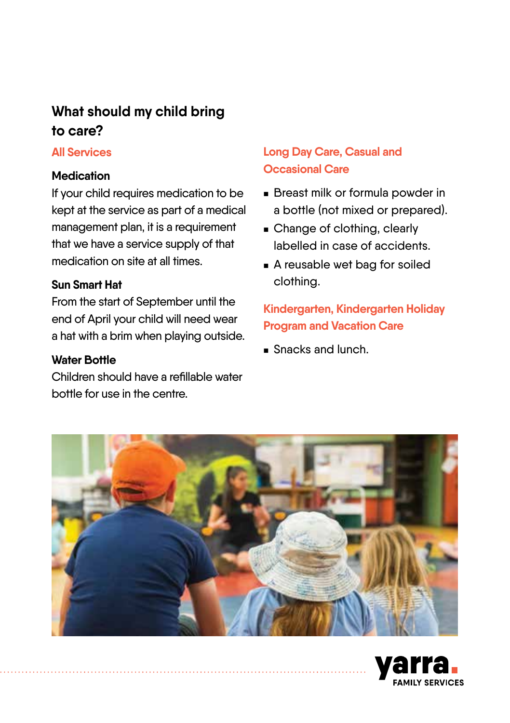# **What should my child bring to care?**

### **All Services**

#### **Medication**

If your child requires medication to be kept at the service as part of a medical management plan, it is a requirement that we have a service supply of that medication on site at all times.

### **Sun Smart Hat**

From the start of September until the end of April your child will need wear a hat with a brim when playing outside.

### **Water Bottle**

Children should have a refillable water bottle for use in the centre.

### **Long Day Care, Casual and Occasional Care**

- **Breast milk or formula powder in** a bottle (not mixed or prepared).
- **Change of clothing, clearly** labelled in case of accidents.
- A reusable wet bag for soiled clothing.

### **Kindergarten, Kindergarten Holiday Program and Vacation Care**

Snacks and lunch.



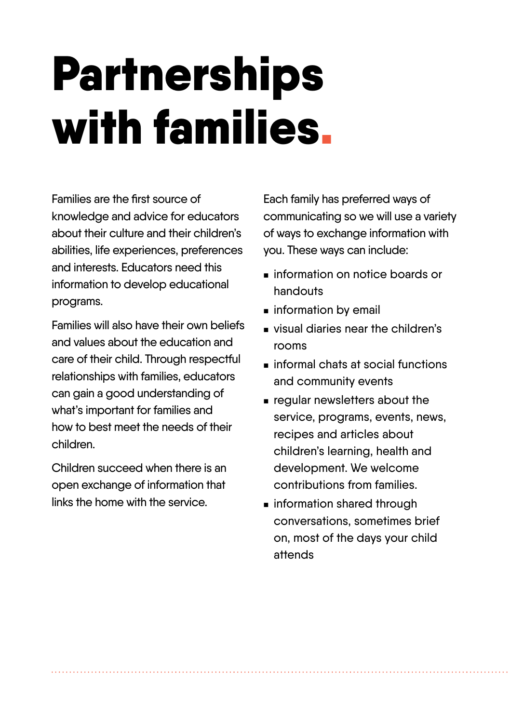# Partnerships with families.

Families are the first source of knowledge and advice for educators about their culture and their children's abilities, life experiences, preferences and interests. Educators need this information to develop educational programs.

Families will also have their own beliefs and values about the education and care of their child. Through respectful relationships with families, educators can gain a good understanding of what's important for families and how to best meet the needs of their children.

Children succeed when there is an open exchange of information that links the home with the service.

Each family has preferred ways of communicating so we will use a variety of ways to exchange information with you. These ways can include:

- **information on notice boards or** handouts
- **information by email**
- visual diaries near the children's rooms
- informal chats at social functions and community events
- regular newsletters about the service, programs, events, news, recipes and articles about children's learning, health and development. We welcome contributions from families.
- **information shared through** conversations, sometimes brief on, most of the days your child attends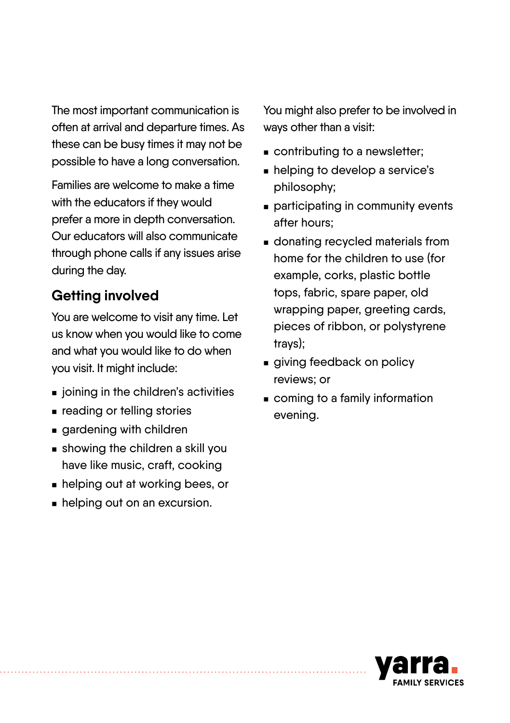The most important communication is often at arrival and departure times. As these can be busy times it may not be possible to have a long conversation.

Families are welcome to make a time with the educators if they would prefer a more in depth conversation. Our educators will also communicate through phone calls if any issues arise during the day.

# **Getting involved**

You are welcome to visit any time. Let us know when you would like to come and what you would like to do when you visit. It might include:

- $\blacksquare$  joining in the children's activities
- reading or telling stories
- **gardening with children**
- showing the children a skill you have like music, craft, cooking
- **helping out at working bees, or**
- **helping out on an excursion.**

You might also prefer to be involved in ways other than a visit:

- contributing to a newsletter;
- **helping to develop a service's** philosophy;
- **participating in community events** after hours;
- donating recycled materials from home for the children to use (for example, corks, plastic bottle tops, fabric, spare paper, old wrapping paper, greeting cards, pieces of ribbon, or polystyrene trays);
- **giving feedback on policy** reviews; or
- coming to a family information evening.

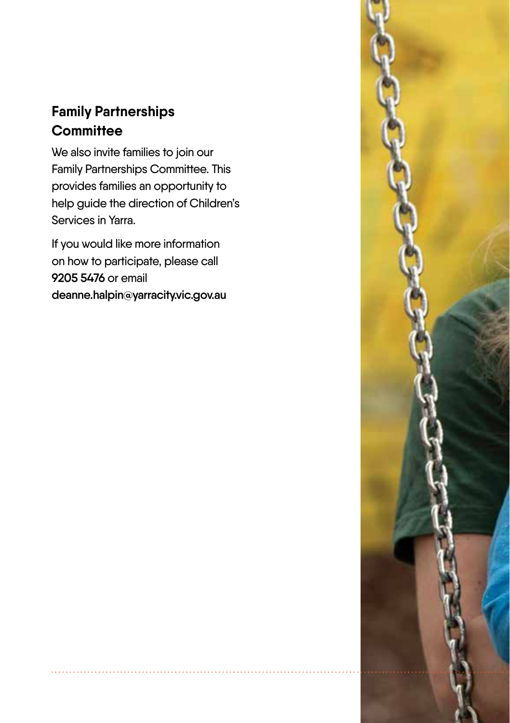# **Family Partnerships Committee**

We also invite families to join our Family Partnerships Committee. This provides families an opportunity to help guide the direction of Children's Services in Yarra.

If you would like more information on how to participate, please call **9205 5476** or email **deanne.halpin@yarracity.vic.gov.au**

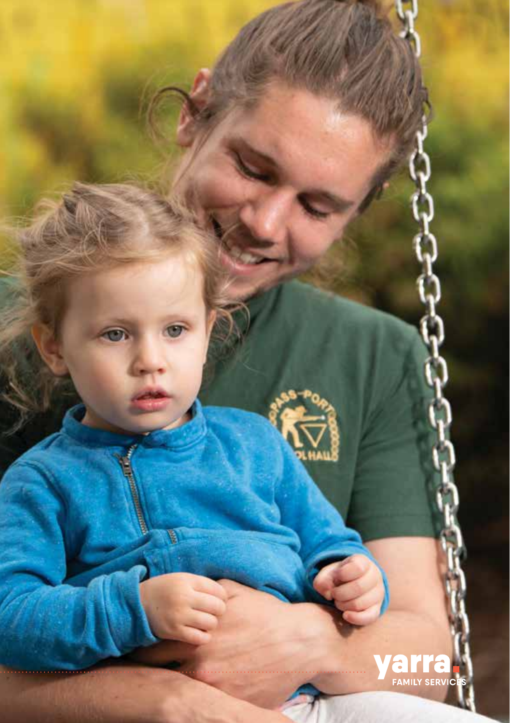

. . . . . <del>. . . . . .</del>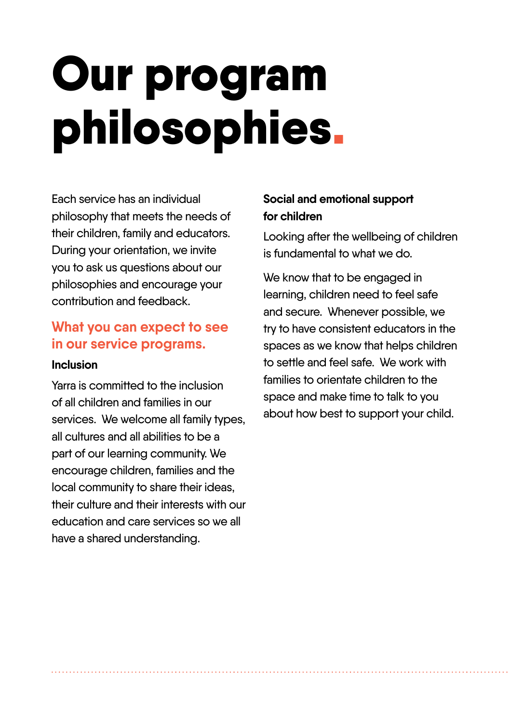# Our program philosophies.

Each service has an individual philosophy that meets the needs of their children, family and educators. During your orientation, we invite you to ask us questions about our philosophies and encourage your contribution and feedback.

## **What you can expect to see in our service programs.**

#### **Inclusion**

Yarra is committed to the inclusion of all children and families in our services. We welcome all family types. all cultures and all abilities to be a part of our learning community. We encourage children, families and the local community to share their ideas, their culture and their interests with our education and care services so we all have a shared understanding.

### **Social and emotional support for children**

Looking after the wellbeing of children is fundamental to what we do.

We know that to be engaged in learning, children need to feel safe and secure. Whenever possible, we try to have consistent educators in the spaces as we know that helps children to settle and feel safe. We work with families to orientate children to the space and make time to talk to you about how best to support your child.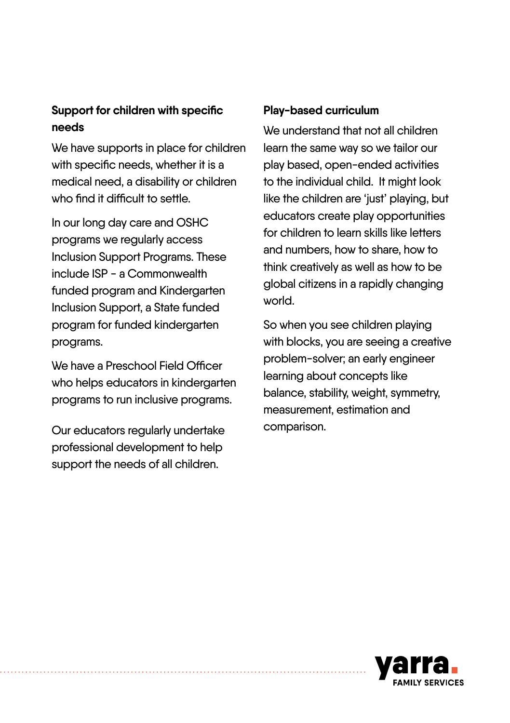### **Support for children with specific needs**

We have supports in place for children with specific needs, whether it is a medical need, a disability or children who find it difficult to settle.

In our long day care and OSHC programs we regularly access Inclusion Support Programs. These include ISP - a Commonwealth funded program and Kindergarten Inclusion Support, a State funded program for funded kindergarten programs.

We have a Preschool Field Officer who helps educators in kindergarten programs to run inclusive programs.

Our educators regularly undertake professional development to help support the needs of all children.

### **Play-based curriculum**

We understand that not all children learn the same way so we tailor our play based, open-ended activities to the individual child. It might look like the children are 'just' playing, but educators create play opportunities for children to learn skills like letters and numbers, how to share, how to think creatively as well as how to be global citizens in a rapidly changing world.

So when you see children playing with blocks, you are seeing a creative problem-solver; an early engineer learning about concepts like balance, stability, weight, symmetry, measurement, estimation and comparison.

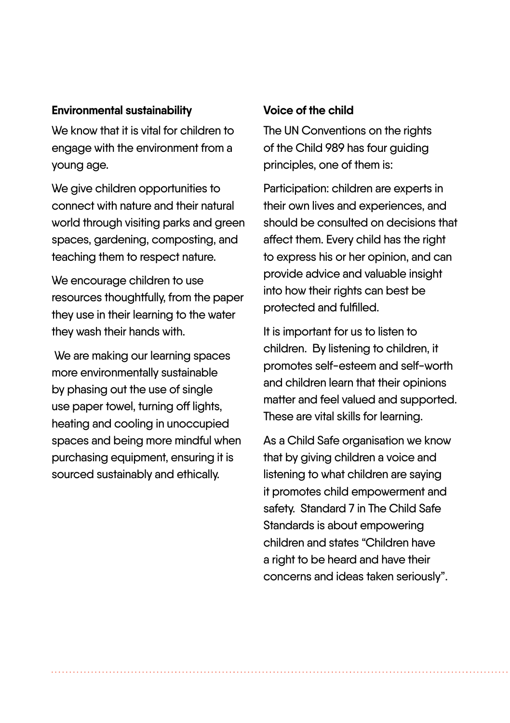#### **Environmental sustainability**

We know that it is vital for children to engage with the environment from a young age.

We give children opportunities to connect with nature and their natural world through visiting parks and green spaces, gardening, composting, and teaching them to respect nature.

We encourage children to use resources thoughtfully, from the paper they use in their learning to the water they wash their hands with.

 We are making our learning spaces more environmentally sustainable by phasing out the use of single use paper towel, turning off lights, heating and cooling in unoccupied spaces and being more mindful when purchasing equipment, ensuring it is sourced sustainably and ethically.

### **Voice of the child**

The UN Conventions on the rights of the Child 989 has four guiding principles, one of them is:

Participation: children are experts in their own lives and experiences, and should be consulted on decisions that affect them. Every child has the right to express his or her opinion, and can provide advice and valuable insight into how their rights can best be protected and fulfilled.

It is important for us to listen to children. By listening to children, it promotes self-esteem and self-worth and children learn that their opinions matter and feel valued and supported. These are vital skills for learning.

As a Child Safe organisation we know that by giving children a voice and listening to what children are saying it promotes child empowerment and safety. Standard 7 in The Child Safe Standards is about empowering children and states "Children have a right to be heard and have their concerns and ideas taken seriously".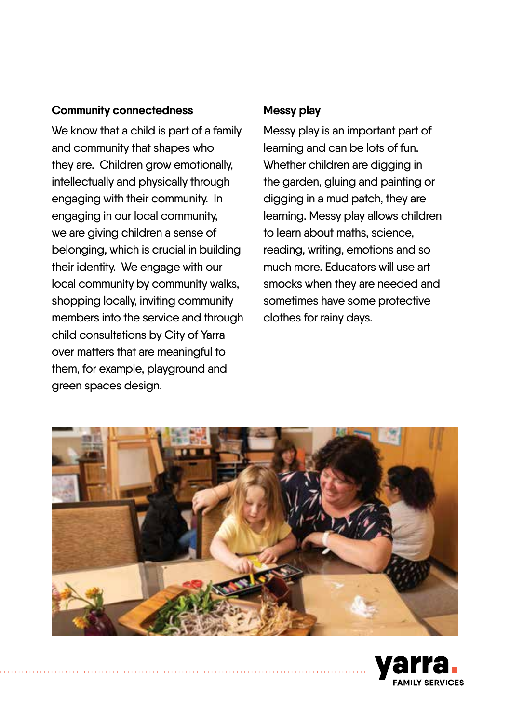#### **Community connectedness**

We know that a child is part of a family and community that shapes who they are. Children grow emotionally, intellectually and physically through engaging with their community. In engaging in our local community, we are giving children a sense of belonging, which is crucial in building their identity. We engage with our local community by community walks, shopping locally, inviting community members into the service and through child consultations by City of Yarra over matters that are meaningful to them, for example, playground and green spaces design.

### **Messy play**

Messy play is an important part of learning and can be lots of fun. Whether children are digging in the garden, gluing and painting or digging in a mud patch, they are learning. Messy play allows children to learn about maths, science, reading, writing, emotions and so much more. Educators will use art smocks when they are needed and sometimes have some protective clothes for rainy days.



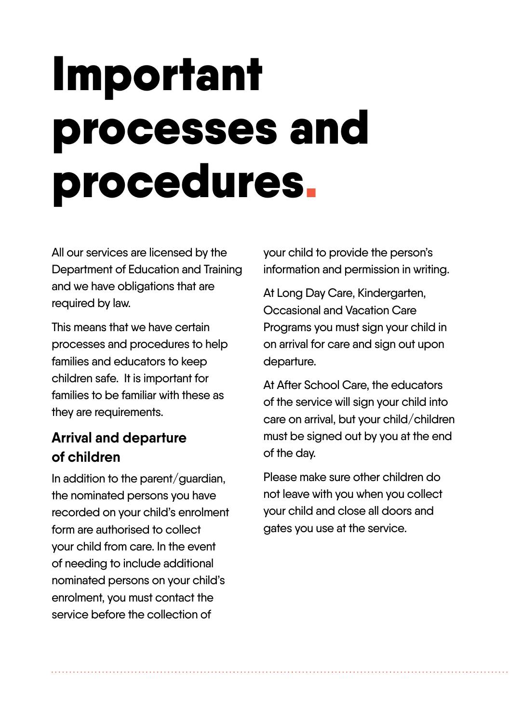# Important processes and procedures.

All our services are licensed by the Department of Education and Training and we have obligations that are required by law.

This means that we have certain processes and procedures to help families and educators to keep children safe. It is important for families to be familiar with these as they are requirements.

# **Arrival and departure of children**

In addition to the parent/guardian, the nominated persons you have recorded on your child's enrolment form are authorised to collect your child from care. In the event of needing to include additional nominated persons on your child's enrolment, you must contact the service before the collection of

your child to provide the person's information and permission in writing.

At Long Day Care, Kindergarten, Occasional and Vacation Care Programs you must sign your child in on arrival for care and sign out upon departure.

At After School Care, the educators of the service will sign your child into care on arrival, but your child/children must be signed out by you at the end of the day.

Please make sure other children do not leave with you when you collect your child and close all doors and gates you use at the service.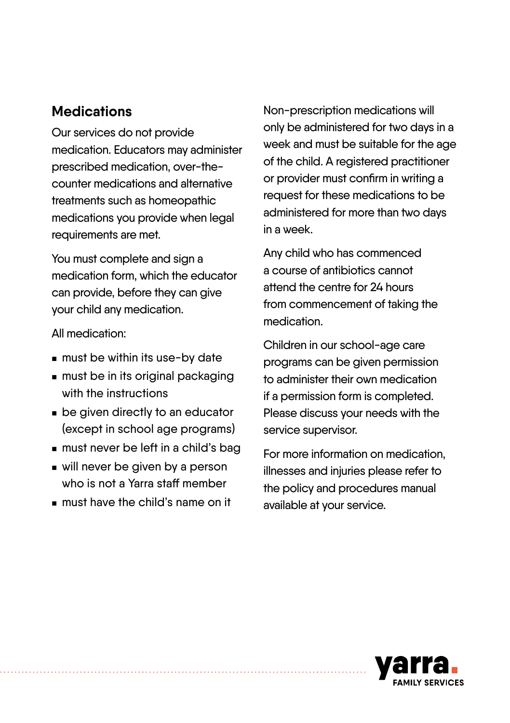## **Medications**

Our services do not provide medication. Educators may administer prescribed medication, over-thecounter medications and alternative treatments such as homeopathic medications you provide when legal requirements are met.

You must complete and sign a medication form, which the educator can provide, before they can give your child any medication.

All medication:

- must be within its use-by date
- **nust be in its original packaging** with the instructions
- **be given directly to an educator** (except in school age programs)
- **nust never be left in a child's bage.**
- will never be given by a person who is not a Yarra staff member
- must have the child's name on it

Non-prescription medications will only be administered for two days in a week and must be suitable for the age of the child. A registered practitioner or provider must confirm in writing a request for these medications to be administered for more than two days in a week.

Any child who has commenced a course of antibiotics cannot attend the centre for 24 hours from commencement of taking the medication.

Children in our school-age care programs can be given permission to administer their own medication if a permission form is completed. Please discuss your needs with the service supervisor.

For more information on medication, illnesses and injuries please refer to the policy and procedures manual available at your service.

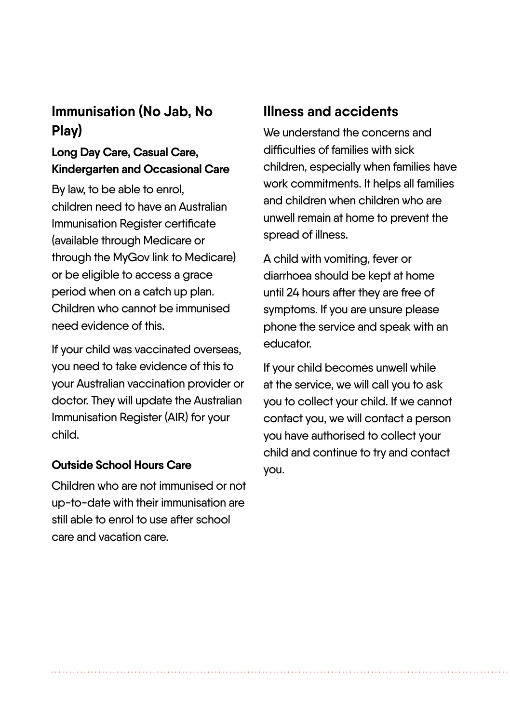# **Immunisation (No Jab, No Play)**

### **Long Day Care, Casual Care, Kindergarten and Occasional Care**

By law, to be able to enrol, children need to have an Australian Immunisation Register certificate (available through Medicare or through the MyGov link to Medicare) or be eligible to access a grace period when on a catch up plan. Children who cannot be immunised need evidence of this.

If your child was vaccinated overseas, you need to take evidence of this to your Australian vaccination provider or doctor. They will update the Australian Immunisation Register (AIR) for your child.

### **Outside School Hours Care**

Children who are not immunised or not up-to-date with their immunisation are still able to enrol to use after school care and vacation care.

### **Illness and accidents**

We understand the concerns and difficulties of families with sick children, especially when families have work commitments. It helps all families and children when children who are unwell remain at home to prevent the spread of illness.

A child with vomiting, fever or diarrhoea should be kept at home until 24 hours after they are free of symptoms. If you are unsure please phone the service and speak with an educator.

If your child becomes unwell while at the service, we will call you to ask you to collect your child. If we cannot contact you, we will contact a person you have authorised to collect your child and continue to try and contact you.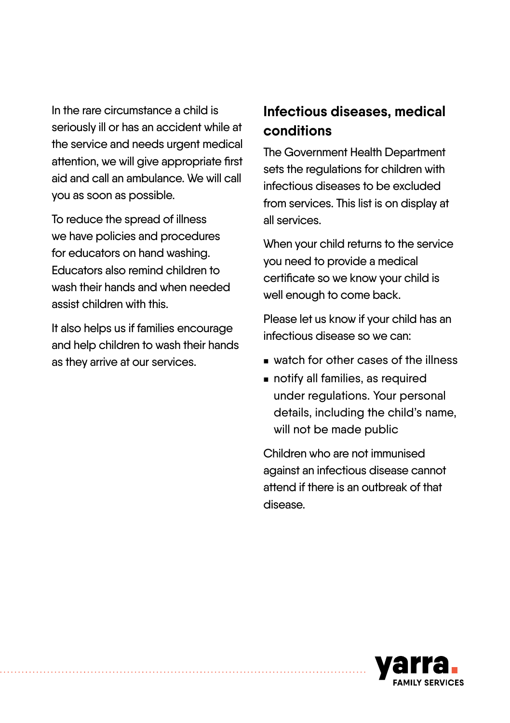In the rare circumstance a child is seriously ill or has an accident while at the service and needs urgent medical attention, we will give appropriate first aid and call an ambulance. We will call you as soon as possible.

To reduce the spread of illness we have policies and procedures for educators on hand washing. Educators also remind children to wash their hands and when needed assist children with this.

It also helps us if families encourage and help children to wash their hands as they arrive at our services.

# **Infectious diseases, medical conditions**

The Government Health Department sets the regulations for children with infectious diseases to be excluded from services. This list is on display at all services.

When your child returns to the service you need to provide a medical certificate so we know your child is well enough to come back.

Please let us know if your child has an infectious disease so we can:

- watch for other cases of the illness
- notify all families, as required under regulations. Your personal details, including the child's name, will not be made public

Children who are not immunised against an infectious disease cannot attend if there is an outbreak of that disease.

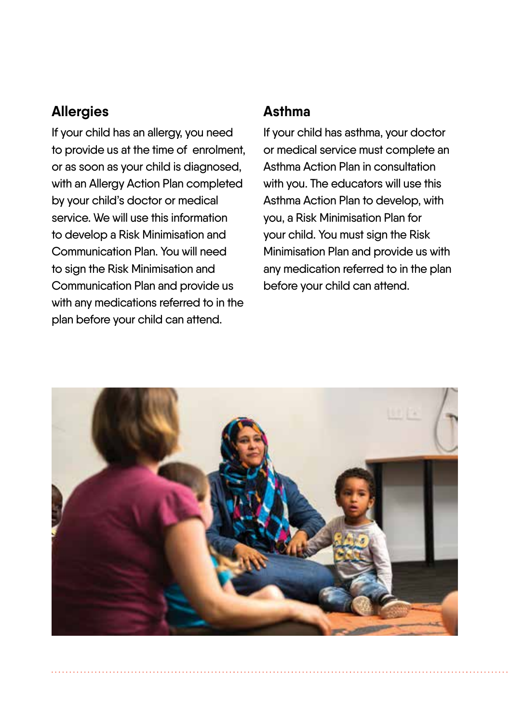### **Allergies**

If your child has an allergy, you need to provide us at the time of enrolment, or as soon as your child is diagnosed, with an Allergy Action Plan completed by your child's doctor or medical service. We will use this information to develop a Risk Minimisation and Communication Plan. You will need to sign the Risk Minimisation and Communication Plan and provide us with any medications referred to in the plan before your child can attend.

## **Asthma**

If your child has asthma, your doctor or medical service must complete an Asthma Action Plan in consultation with you. The educators will use this Asthma Action Plan to develop, with you, a Risk Minimisation Plan for your child. You must sign the Risk Minimisation Plan and provide us with any medication referred to in the plan before your child can attend.

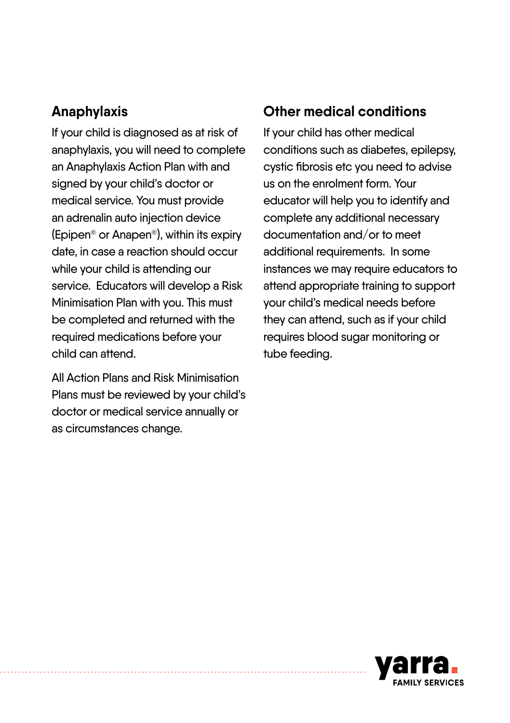## **Anaphylaxis**

If your child is diagnosed as at risk of anaphylaxis, you will need to complete an Anaphylaxis Action Plan with and signed by your child's doctor or medical service. You must provide an adrenalin auto injection device (Epipen© or Anapen©), within its expiry date, in case a reaction should occur while your child is attending our service. Educators will develop a Risk Minimisation Plan with you. This must be completed and returned with the required medications before your child can attend.

All Action Plans and Risk Minimisation Plans must be reviewed by your child's doctor or medical service annually or as circumstances change.

### **Other medical conditions**

If your child has other medical conditions such as diabetes, epilepsy, cystic fibrosis etc you need to advise us on the enrolment form. Your educator will help you to identify and complete any additional necessary documentation and/or to meet additional requirements. In some instances we may require educators to attend appropriate training to support your child's medical needs before they can attend, such as if your child requires blood sugar monitoring or tube feeding.

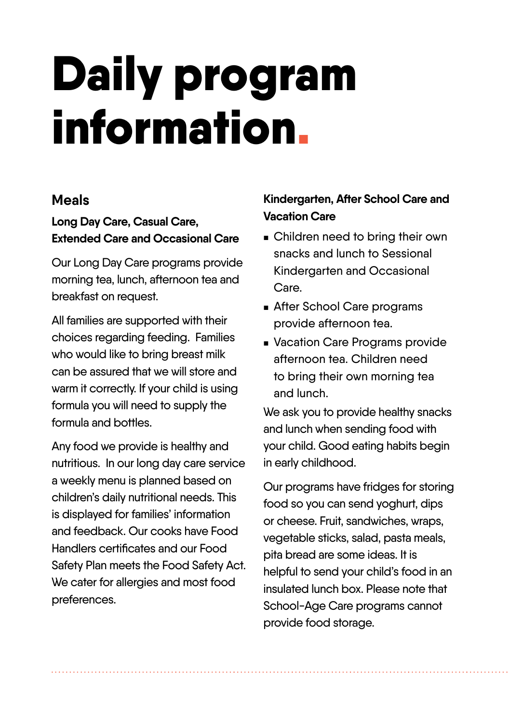# Daily program information.

### **Meals**

### **Long Day Care, Casual Care, Extended Care and Occasional Care**

Our Long Day Care programs provide morning tea, lunch, afternoon tea and breakfast on request.

All families are supported with their choices regarding feeding. Families who would like to bring breast milk can be assured that we will store and warm it correctly. If your child is using formula you will need to supply the formula and bottles.

Any food we provide is healthy and nutritious. In our long day care service a weekly menu is planned based on children's daily nutritional needs. This is displayed for families' information and feedback. Our cooks have Food Handlers certificates and our Food Safety Plan meets the Food Safety Act. We cater for allergies and most food preferences.

## **Kindergarten, After School Care and Vacation Care**

- **Children need to bring their own** snacks and lunch to Sessional Kindergarten and Occasional Care.
- After School Care programs provide afternoon tea.
- Vacation Care Programs provide afternoon tea. Children need to bring their own morning tea and lunch.

We ask you to provide healthy snacks and lunch when sending food with your child. Good eating habits begin in early childhood.

Our programs have fridges for storing food so you can send yoghurt, dips or cheese. Fruit, sandwiches, wraps, vegetable sticks, salad, pasta meals, pita bread are some ideas. It is helpful to send your child's food in an insulated lunch box. Please note that School-Age Care programs cannot provide food storage.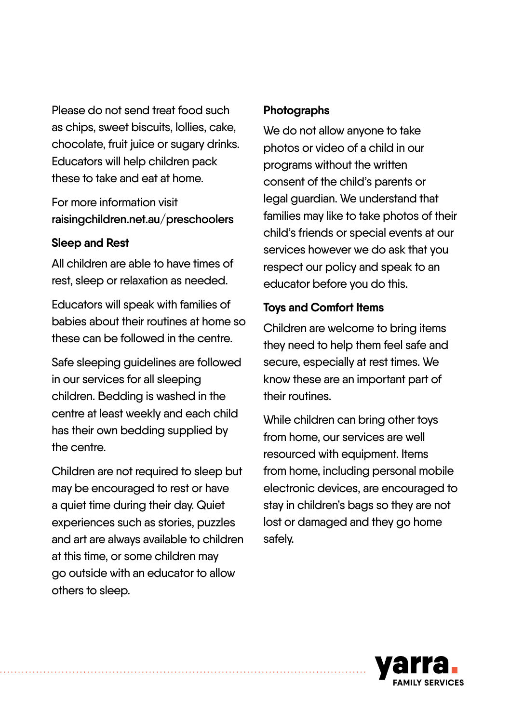Please do not send treat food such as chips, sweet biscuits, lollies, cake, chocolate, fruit juice or sugary drinks. Educators will help children pack these to take and eat at home.

For more information visit **raisingchildren.net.au/preschoolers**

#### **Sleep and Rest**

All children are able to have times of rest, sleep or relaxation as needed.

Educators will speak with families of babies about their routines at home so these can be followed in the centre.

Safe sleeping guidelines are followed in our services for all sleeping children. Bedding is washed in the centre at least weekly and each child has their own bedding supplied by the centre.

Children are not required to sleep but may be encouraged to rest or have a quiet time during their day. Quiet experiences such as stories, puzzles and art are always available to children at this time, or some children may go outside with an educator to allow others to sleep.

#### **Photographs**

We do not allow anyone to take photos or video of a child in our programs without the written consent of the child's parents or legal guardian. We understand that families may like to take photos of their child's friends or special events at our services however we do ask that you respect our policy and speak to an educator before you do this.

#### **Toys and Comfort Items**

Children are welcome to bring items they need to help them feel safe and secure, especially at rest times. We know these are an important part of their routines.

While children can bring other toys from home, our services are well resourced with equipment. Items from home, including personal mobile electronic devices, are encouraged to stay in children's bags so they are not lost or damaged and they go home safely.

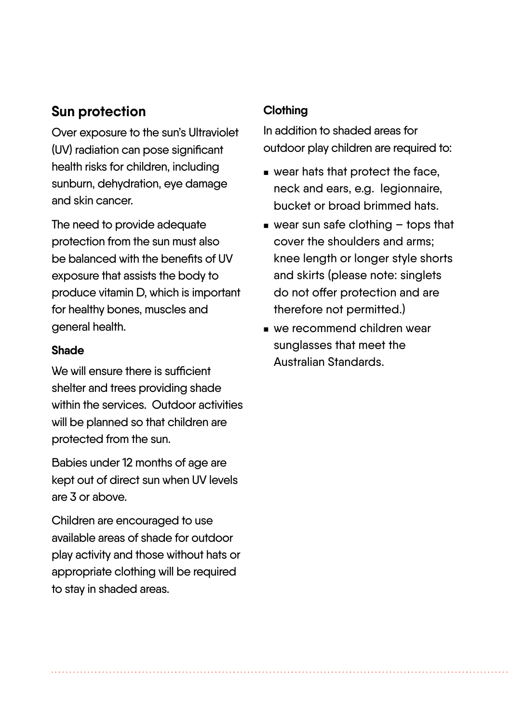### **Sun protection**

Over exposure to the sun's Ultraviolet (UV) radiation can pose significant health risks for children, including sunburn, dehydration, eye damage and skin cancer.

The need to provide adequate protection from the sun must also be balanced with the benefits of UV exposure that assists the body to produce vitamin D, which is important for healthy bones, muscles and general health.

#### **Shade**

We will ensure there is sufficient shelter and trees providing shade within the services. Outdoor activities will be planned so that children are protected from the sun.

Babies under 12 months of age are kept out of direct sun when UV levels are 3 or above.

Children are encouraged to use available areas of shade for outdoor play activity and those without hats or appropriate clothing will be required to stay in shaded areas.

### **Clothing**

In addition to shaded areas for outdoor play children are required to:

- wear hats that protect the face, neck and ears, e.g. legionnaire, bucket or broad brimmed hats.
- $\blacksquare$  wear sun safe clothing  $-$  tops that cover the shoulders and arms; knee length or longer style shorts and skirts (please note: singlets do not offer protection and are therefore not permitted.)
- we recommend children wear sunglasses that meet the Australian Standards.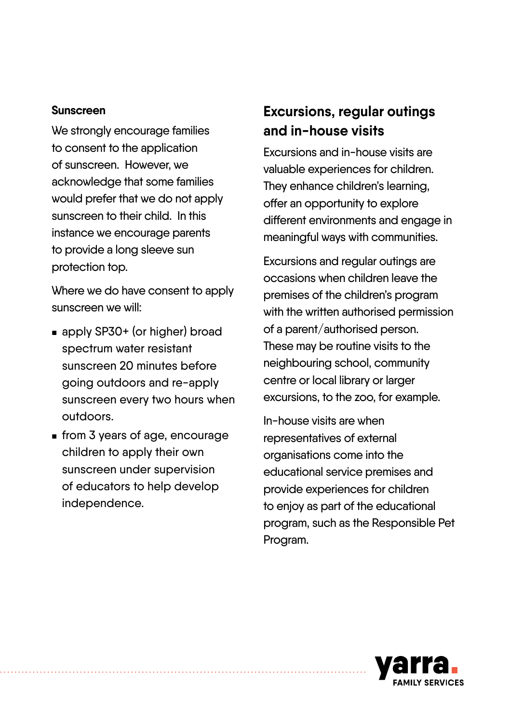#### **Sunscreen**

We strongly encourage families to consent to the application of sunscreen. However, we acknowledge that some families would prefer that we do not apply sunscreen to their child. In this instance we encourage parents to provide a long sleeve sun protection top.

Where we do have consent to apply sunscreen we will:

- apply SP30+ (or higher) broad spectrum water resistant sunscreen 20 minutes before going outdoors and re-apply sunscreen every two hours when outdoors.
- **from 3 years of age, encourage** children to apply their own sunscreen under supervision of educators to help develop independence.

# **Excursions, regular outings and in-house visits**

Excursions and in-house visits are valuable experiences for children. They enhance children's learning, offer an opportunity to explore different environments and engage in meaningful ways with communities.

Excursions and regular outings are occasions when children leave the premises of the children's program with the written authorised permission of a parent/authorised person. These may be routine visits to the neighbouring school, community centre or local library or larger excursions, to the zoo, for example.

In-house visits are when representatives of external organisations come into the educational service premises and provide experiences for children to enjoy as part of the educational program, such as the Responsible Pet Program.

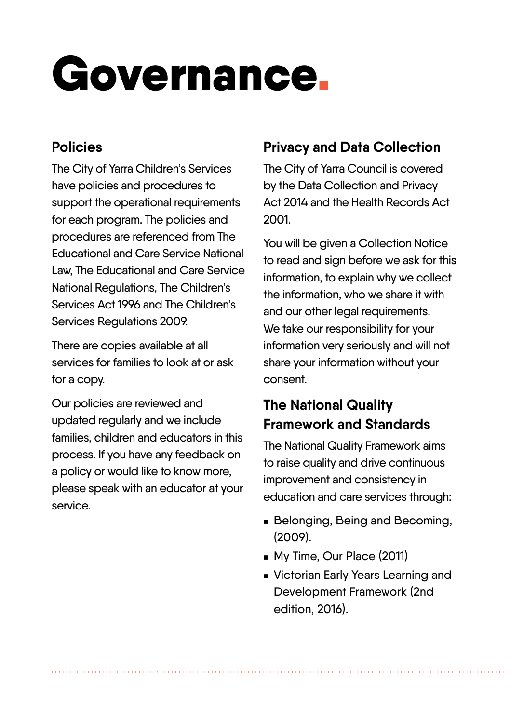# Governance.

# **Policies**

The City of Yarra Children's Services have policies and procedures to support the operational requirements for each program. The policies and procedures are referenced from The Educational and Care Service National Law, The Educational and Care Service National Regulations, The Children's Services Act 1996 and The Children's Services Regulations 2009.

There are copies available at all services for families to look at or ask for a copy.

Our policies are reviewed and updated regularly and we include families, children and educators in this process. If you have any feedback on a policy or would like to know more, please speak with an educator at your service.

# **Privacy and Data Collection**

The City of Yarra Council is covered by the Data Collection and Privacy Act 2014 and the Health Records Act 2001.

You will be given a Collection Notice to read and sign before we ask for this information, to explain why we collect the information, who we share it with and our other legal requirements. We take our responsibility for your information very seriously and will not share your information without your consent.

# **The National Quality Framework and Standards**

The National Quality Framework aims to raise quality and drive continuous improvement and consistency in education and care services through:

- Belonging, Being and Becoming, (2009).
- My Time, Our Place (2011)
- Victorian Early Years Learning and Development Framework (2nd edition, 2016).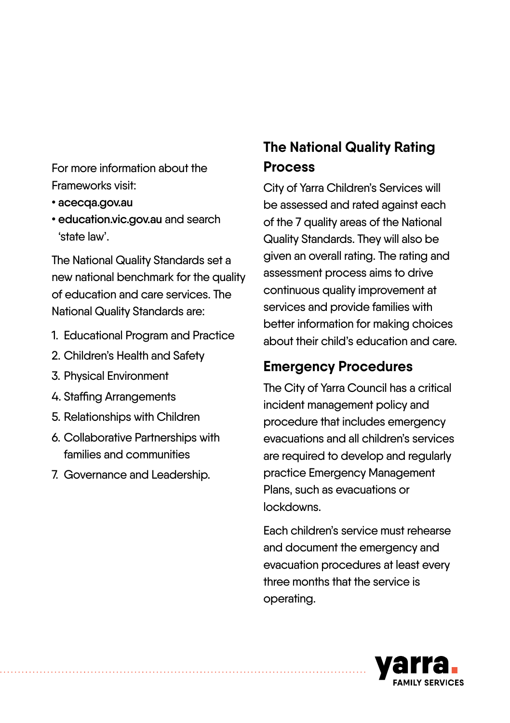For more information about the Frameworks visit:

- **acecqa.gov.au**
- **education.vic.gov.au** and search 'state law'.

The National Quality Standards set a new national benchmark for the quality of education and care services. The National Quality Standards are:

- 1. Educational Program and Practice
- 2. Children's Health and Safety
- 3. Physical Environment
- 4. Staffing Arrangements
- 5. Relationships with Children
- 6. Collaborative Partnerships with families and communities
- 7. Governance and Leadership.

# **The National Quality Rating Process**

City of Yarra Children's Services will be assessed and rated against each of the 7 quality areas of the National Quality Standards. They will also be given an overall rating. The rating and assessment process aims to drive continuous quality improvement at services and provide families with better information for making choices about their child's education and care.

## **Emergency Procedures**

The City of Yarra Council has a critical incident management policy and procedure that includes emergency evacuations and all children's services are required to develop and regularly practice Emergency Management Plans, such as evacuations or lockdowns.

Each children's service must rehearse and document the emergency and evacuation procedures at least every three months that the service is operating.